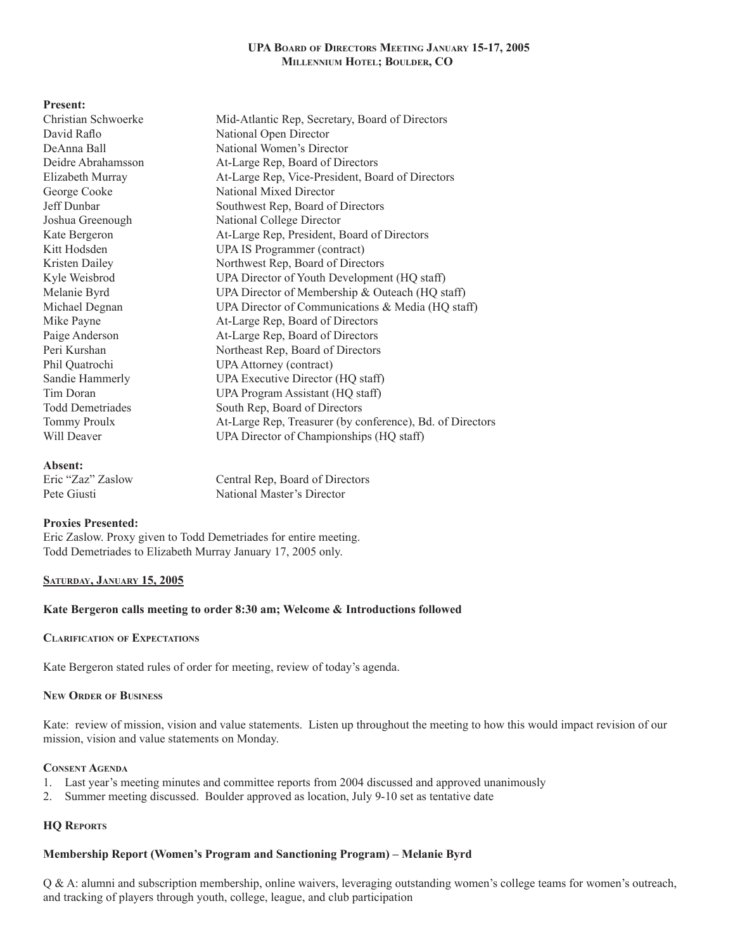| <b>Present:</b>         |                                                           |  |
|-------------------------|-----------------------------------------------------------|--|
| Christian Schwoerke     | Mid-Atlantic Rep, Secretary, Board of Directors           |  |
| David Raflo             | National Open Director                                    |  |
| DeAnna Ball             | National Women's Director                                 |  |
| Deidre Abrahamsson      | At-Large Rep, Board of Directors                          |  |
| Elizabeth Murray        | At-Large Rep, Vice-President, Board of Directors          |  |
| George Cooke            | National Mixed Director                                   |  |
| Jeff Dunbar             | Southwest Rep, Board of Directors                         |  |
| Joshua Greenough        | National College Director                                 |  |
| Kate Bergeron           | At-Large Rep, President, Board of Directors               |  |
| Kitt Hodsden            | <b>UPA IS Programmer (contract)</b>                       |  |
| Kristen Dailey          | Northwest Rep, Board of Directors                         |  |
| Kyle Weisbrod           | UPA Director of Youth Development (HQ staff)              |  |
| Melanie Byrd            | UPA Director of Membership & Outeach (HQ staff)           |  |
| Michael Degnan          | UPA Director of Communications & Media (HQ staff)         |  |
| Mike Payne              | At-Large Rep, Board of Directors                          |  |
| Paige Anderson          | At-Large Rep, Board of Directors                          |  |
| Peri Kurshan            | Northeast Rep, Board of Directors                         |  |
| Phil Quatrochi          | <b>UPA Attorney (contract)</b>                            |  |
| Sandie Hammerly         | UPA Executive Director (HQ staff)                         |  |
| Tim Doran               | UPA Program Assistant (HQ staff)                          |  |
| <b>Todd Demetriades</b> | South Rep, Board of Directors                             |  |
| <b>Tommy Proulx</b>     | At-Large Rep, Treasurer (by conference), Bd. of Directors |  |
| Will Deaver             | UPA Director of Championships (HQ staff)                  |  |
|                         |                                                           |  |

#### **Absent:**

Eric "Zaz" Zaslow Central Rep, Board of Directors Pete Giusti National Master's Director

## **Proxies Presented:**

Eric Zaslow. Proxy given to Todd Demetriades for entire meeting. Todd Demetriades to Elizabeth Murray January 17, 2005 only.

## **Saturday, January 15, 2005**

# **Kate Bergeron calls meeting to order 8:30 am; Welcome & Introductions followed**

## **Clarification of Expectations**

Kate Bergeron stated rules of order for meeting, review of today's agenda.

#### **New Order of Business**

Kate: review of mission, vision and value statements. Listen up throughout the meeting to how this would impact revision of our mission, vision and value statements on Monday.

#### **Consent Agenda**

- 1. Last year's meeting minutes and committee reports from 2004 discussed and approved unanimously
- 2. Summer meeting discussed. Boulder approved as location, July 9-10 set as tentative date

# **HQ Reports**

## **Membership Report (Women's Program and Sanctioning Program) – Melanie Byrd**

Q & A: alumni and subscription membership, online waivers, leveraging outstanding women's college teams for women's outreach, and tracking of players through youth, college, league, and club participation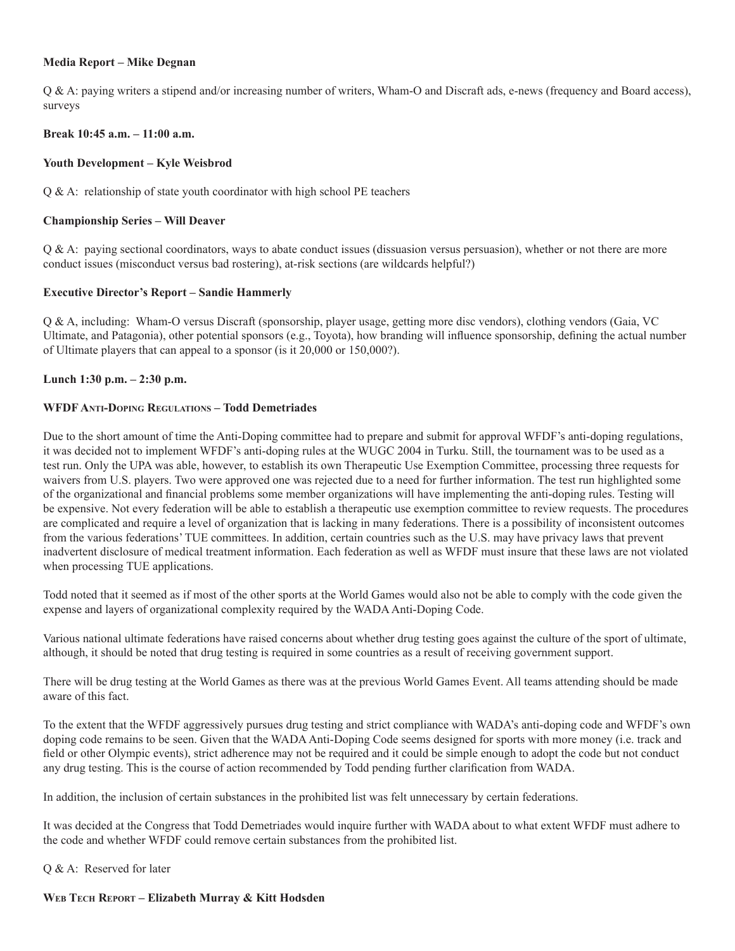#### **Media Report – Mike Degnan**

Q & A: paying writers a stipend and/or increasing number of writers, Wham-O and Discraft ads, e-news (frequency and Board access), surveys

#### **Break 10:45 a.m. – 11:00 a.m.**

#### **Youth Development – Kyle Weisbrod**

Q & A: relationship of state youth coordinator with high school PE teachers

#### **Championship Series – Will Deaver**

Q & A: paying sectional coordinators, ways to abate conduct issues (dissuasion versus persuasion), whether or not there are more conduct issues (misconduct versus bad rostering), at-risk sections (are wildcards helpful?)

#### **Executive Director's Report – Sandie Hammerly**

Q & A, including: Wham-O versus Discraft (sponsorship, player usage, getting more disc vendors), clothing vendors (Gaia, VC Ultimate, and Patagonia), other potential sponsors (e.g., Toyota), how branding will influence sponsorship, defining the actual number of Ultimate players that can appeal to a sponsor (is it 20,000 or 150,000?).

#### **Lunch 1:30 p.m. – 2:30 p.m.**

#### **WFDF Anti-Doping Regulations – Todd Demetriades**

Due to the short amount of time the Anti-Doping committee had to prepare and submit for approval WFDF's anti-doping regulations, it was decided not to implement WFDF's anti-doping rules at the WUGC 2004 in Turku. Still, the tournament was to be used as a test run. Only the UPA was able, however, to establish its own Therapeutic Use Exemption Committee, processing three requests for waivers from U.S. players. Two were approved one was rejected due to a need for further information. The test run highlighted some of the organizational and financial problems some member organizations will have implementing the anti-doping rules. Testing will be expensive. Not every federation will be able to establish a therapeutic use exemption committee to review requests. The procedures are complicated and require a level of organization that is lacking in many federations. There is a possibility of inconsistent outcomes from the various federations' TUE committees. In addition, certain countries such as the U.S. may have privacy laws that prevent inadvertent disclosure of medical treatment information. Each federation as well as WFDF must insure that these laws are not violated when processing TUE applications.

Todd noted that it seemed as if most of the other sports at the World Games would also not be able to comply with the code given the expense and layers of organizational complexity required by the WADA Anti-Doping Code.

Various national ultimate federations have raised concerns about whether drug testing goes against the culture of the sport of ultimate, although, it should be noted that drug testing is required in some countries as a result of receiving government support.

There will be drug testing at the World Games as there was at the previous World Games Event. All teams attending should be made aware of this fact.

To the extent that the WFDF aggressively pursues drug testing and strict compliance with WADA's anti-doping code and WFDF's own doping code remains to be seen. Given that the WADA Anti-Doping Code seems designed for sports with more money (i.e. track and field or other Olympic events), strict adherence may not be required and it could be simple enough to adopt the code but not conduct any drug testing. This is the course of action recommended by Todd pending further clarification from WADA.

In addition, the inclusion of certain substances in the prohibited list was felt unnecessary by certain federations.

It was decided at the Congress that Todd Demetriades would inquire further with WADA about to what extent WFDF must adhere to the code and whether WFDF could remove certain substances from the prohibited list.

## Q & A: Reserved for later

#### **Web Tech Report – Elizabeth Murray & Kitt Hodsden**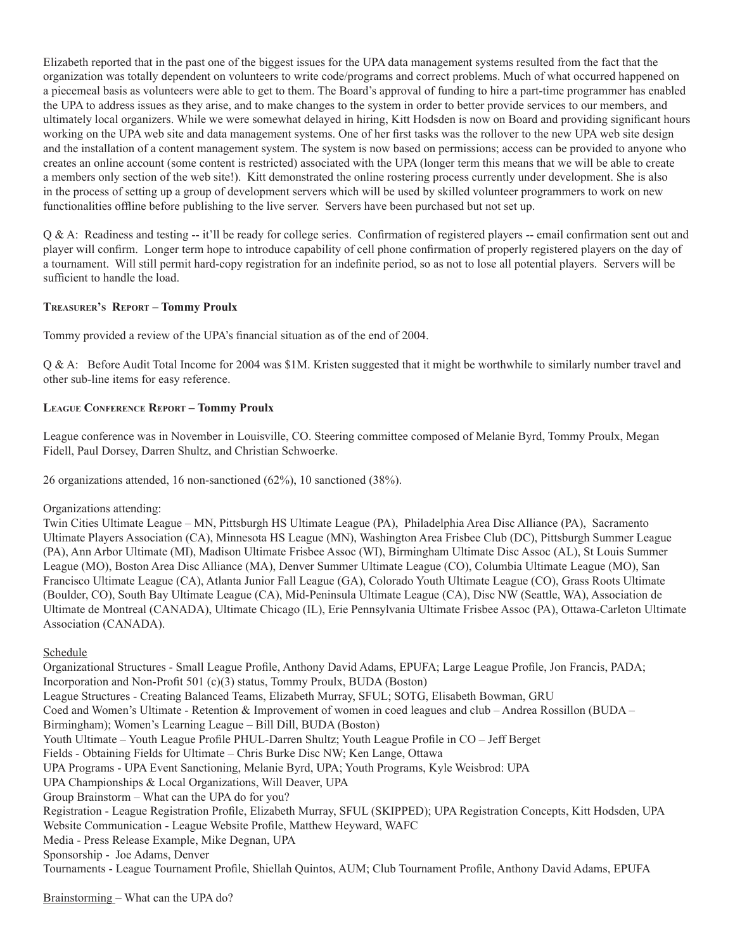Elizabeth reported that in the past one of the biggest issues for the UPA data management systems resulted from the fact that the organization was totally dependent on volunteers to write code/programs and correct problems. Much of what occurred happened on a piecemeal basis as volunteers were able to get to them. The Board's approval of funding to hire a part-time programmer has enabled the UPA to address issues as they arise, and to make changes to the system in order to better provide services to our members, and ultimately local organizers. While we were somewhat delayed in hiring, Kitt Hodsden is now on Board and providing significant hours working on the UPA web site and data management systems. One of her first tasks was the rollover to the new UPA web site design and the installation of a content management system. The system is now based on permissions; access can be provided to anyone who creates an online account (some content is restricted) associated with the UPA (longer term this means that we will be able to create a members only section of the web site!). Kitt demonstrated the online rostering process currently under development. She is also in the process of setting up a group of development servers which will be used by skilled volunteer programmers to work on new functionalities offline before publishing to the live server. Servers have been purchased but not set up.

Q & A: Readiness and testing -- it'll be ready for college series. Confirmation of registered players -- email confirmation sent out and player will confirm. Longer term hope to introduce capability of cell phone confirmation of properly registered players on the day of a tournament. Will still permit hard-copy registration for an indefinite period, so as not to lose all potential players. Servers will be sufficient to handle the load.

# **Treasurer's Report – Tommy Proulx**

Tommy provided a review of the UPA's financial situation as of the end of 2004.

Q & A: Before Audit Total Income for 2004 was \$1M. Kristen suggested that it might be worthwhile to similarly number travel and other sub-line items for easy reference.

# **League Conference Report – Tommy Proulx**

League conference was in November in Louisville, CO. Steering committee composed of Melanie Byrd, Tommy Proulx, Megan Fidell, Paul Dorsey, Darren Shultz, and Christian Schwoerke.

26 organizations attended, 16 non-sanctioned (62%), 10 sanctioned (38%).

Organizations attending:

Twin Cities Ultimate League – MN, Pittsburgh HS Ultimate League (PA), Philadelphia Area Disc Alliance (PA), Sacramento Ultimate Players Association (CA), Minnesota HS League (MN), Washington Area Frisbee Club (DC), Pittsburgh Summer League (PA), Ann Arbor Ultimate (MI), Madison Ultimate Frisbee Assoc (WI), Birmingham Ultimate Disc Assoc (AL), St Louis Summer League (MO), Boston Area Disc Alliance (MA), Denver Summer Ultimate League (CO), Columbia Ultimate League (MO), San Francisco Ultimate League (CA), Atlanta Junior Fall League (GA), Colorado Youth Ultimate League (CO), Grass Roots Ultimate (Boulder, CO), South Bay Ultimate League (CA), Mid-Peninsula Ultimate League (CA), Disc NW (Seattle, WA), Association de Ultimate de Montreal (CANADA), Ultimate Chicago (IL), Erie Pennsylvania Ultimate Frisbee Assoc (PA), Ottawa-Carleton Ultimate Association (CANADA).

# Schedule

Organizational Structures - Small League Profile, Anthony David Adams, EPUFA; Large League Profile, Jon Francis, PADA; Incorporation and Non-Profit 501 (c)(3) status, Tommy Proulx, BUDA (Boston) League Structures - Creating Balanced Teams, Elizabeth Murray, SFUL; SOTG, Elisabeth Bowman, GRU Coed and Women's Ultimate - Retention & Improvement of women in coed leagues and club – Andrea Rossillon (BUDA – Birmingham); Women's Learning League – Bill Dill, BUDA (Boston) Youth Ultimate – Youth League Profile PHUL-Darren Shultz; Youth League Profile in CO – Jeff Berget Fields - Obtaining Fields for Ultimate – Chris Burke Disc NW; Ken Lange, Ottawa UPA Programs - UPA Event Sanctioning, Melanie Byrd, UPA; Youth Programs, Kyle Weisbrod: UPA UPA Championships & Local Organizations, Will Deaver, UPA Group Brainstorm – What can the UPA do for you? Registration - League Registration Profile, Elizabeth Murray, SFUL (SKIPPED); UPA Registration Concepts, Kitt Hodsden, UPA Website Communication - League Website Profile, Matthew Heyward, WAFC Media - Press Release Example, Mike Degnan, UPA Sponsorship - Joe Adams, Denver Tournaments - League Tournament Profile, Shiellah Quintos, AUM; Club Tournament Profile, Anthony David Adams, EPUFA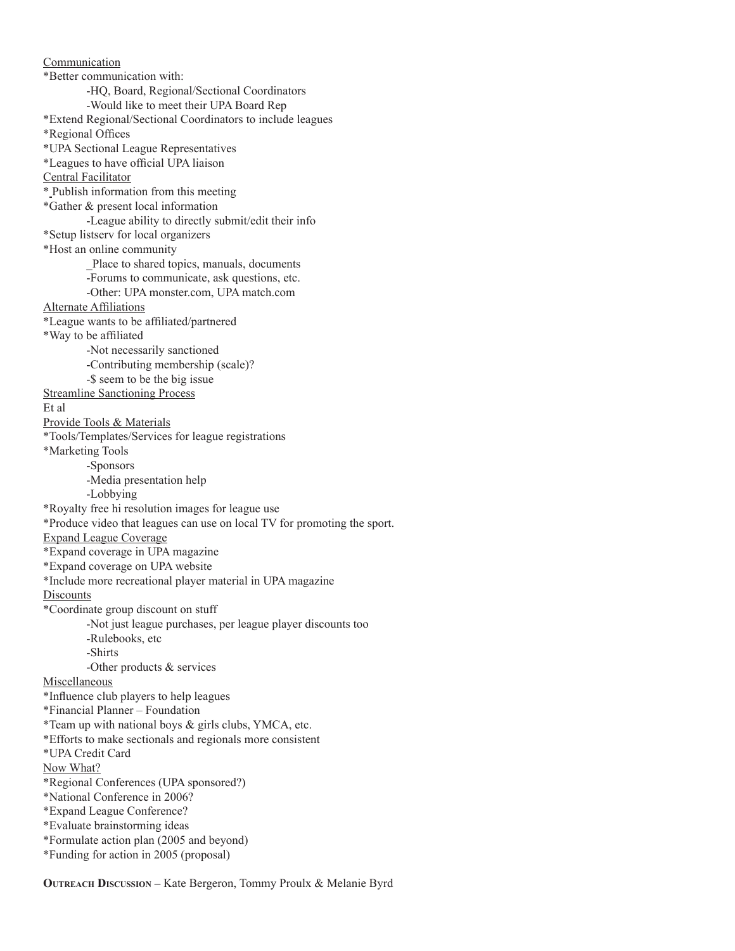Communication \*Better communication with: -HQ, Board, Regional/Sectional Coordinators -Would like to meet their UPA Board Rep \*Extend Regional/Sectional Coordinators to include leagues \*Regional Offices \*UPA Sectional League Representatives \*Leagues to have official UPA liaison Central Facilitator \* Publish information from this meeting \*Gather & present local information -League ability to directly submit/edit their info \*Setup listserv for local organizers \*Host an online community \_Place to shared topics, manuals, documents -Forums to communicate, ask questions, etc. -Other: UPA monster.com, UPA match.com Alternate Affiliations \*League wants to be affiliated/partnered \*Way to be affiliated -Not necessarily sanctioned -Contributing membership (scale)? -\$ seem to be the big issue Streamline Sanctioning Process Et al Provide Tools & Materials \*Tools/Templates/Services for league registrations \*Marketing Tools -Sponsors -Media presentation help -Lobbying \*Royalty free hi resolution images for league use \*Produce video that leagues can use on local TV for promoting the sport. Expand League Coverage \*Expand coverage in UPA magazine \*Expand coverage on UPA website \*Include more recreational player material in UPA magazine **Discounts** \*Coordinate group discount on stuff -Not just league purchases, per league player discounts too -Rulebooks, etc -Shirts -Other products & services Miscellaneous \*Influence club players to help leagues \*Financial Planner – Foundation \*Team up with national boys & girls clubs, YMCA, etc. \*Efforts to make sectionals and regionals more consistent \*UPA Credit Card Now What? \*Regional Conferences (UPA sponsored?) \*National Conference in 2006? \*Expand League Conference? \*Evaluate brainstorming ideas \*Formulate action plan (2005 and beyond) \*Funding for action in 2005 (proposal)

**Outreach Discussion –** Kate Bergeron, Tommy Proulx & Melanie Byrd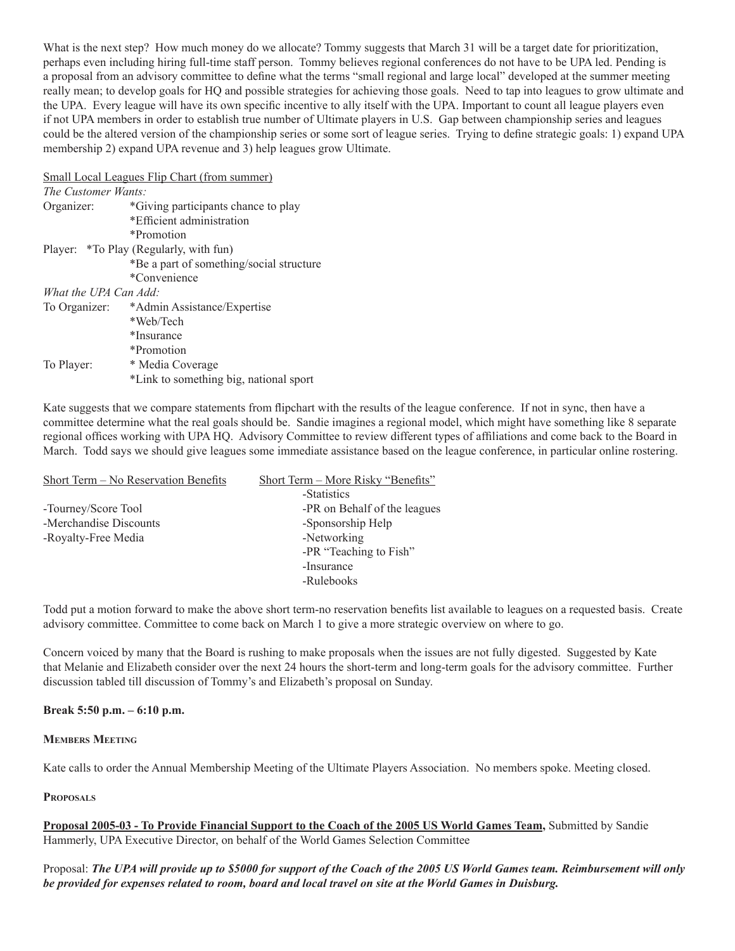What is the next step? How much money do we allocate? Tommy suggests that March 31 will be a target date for prioritization, perhaps even including hiring full-time staff person. Tommy believes regional conferences do not have to be UPA led. Pending is a proposal from an advisory committee to define what the terms "small regional and large local" developed at the summer meeting really mean; to develop goals for HQ and possible strategies for achieving those goals. Need to tap into leagues to grow ultimate and the UPA. Every league will have its own specific incentive to ally itself with the UPA. Important to count all league players even if not UPA members in order to establish true number of Ultimate players in U.S. Gap between championship series and leagues could be the altered version of the championship series or some sort of league series. Trying to define strategic goals: 1) expand UPA membership 2) expand UPA revenue and 3) help leagues grow Ultimate.

Small Local Leagues Flip Chart (from summer)

| The Customer Wants:   |                                          |
|-----------------------|------------------------------------------|
| Organizer:            | *Giving participants chance to play      |
|                       | *Efficient administration                |
|                       | *Promotion                               |
|                       | Player: *To Play (Regularly, with fun)   |
|                       | *Be a part of something/social structure |
|                       | *Convenience                             |
| What the UPA Can Add: |                                          |
| To Organizer:         | *Admin Assistance/Expertise              |
|                       | *Web/Tech                                |
|                       | *Insurance                               |
|                       | *Promotion                               |
| To Player:            | * Media Coverage                         |
|                       | *Link to something big, national sport   |

Kate suggests that we compare statements from flipchart with the results of the league conference. If not in sync, then have a committee determine what the real goals should be. Sandie imagines a regional model, which might have something like 8 separate regional offices working with UPA HQ. Advisory Committee to review different types of affiliations and come back to the Board in March. Todd says we should give leagues some immediate assistance based on the league conference, in particular online rostering.

| Short Term - No Reservation Benefits | Short Term – More Risky "Benefits" |
|--------------------------------------|------------------------------------|
|                                      | -Statistics                        |
| -Tourney/Score Tool                  | -PR on Behalf of the leagues       |
| -Merchandise Discounts               | -Sponsorship Help                  |
| -Royalty-Free Media                  | -Networking                        |
|                                      | -PR "Teaching to Fish"             |
|                                      | -Insurance                         |
|                                      | -Rulebooks                         |

Todd put a motion forward to make the above short term-no reservation benefits list available to leagues on a requested basis. Create advisory committee. Committee to come back on March 1 to give a more strategic overview on where to go.

Concern voiced by many that the Board is rushing to make proposals when the issues are not fully digested. Suggested by Kate that Melanie and Elizabeth consider over the next 24 hours the short-term and long-term goals for the advisory committee. Further discussion tabled till discussion of Tommy's and Elizabeth's proposal on Sunday.

## **Break 5:50 p.m. – 6:10 p.m.**

## **Members Meeting**

Kate calls to order the Annual Membership Meeting of the Ultimate Players Association. No members spoke. Meeting closed.

# **Proposals**

**Proposal 2005-03 - To Provide Financial Support to the Coach of the 2005 US World Games Team,** Submitted by Sandie Hammerly, UPA Executive Director, on behalf of the World Games Selection Committee

Proposal: *The UPA will provide up to \$5000 for support of the Coach of the 2005 US World Games team. Reimbursement will only be provided for expenses related to room, board and local travel on site at the World Games in Duisburg.*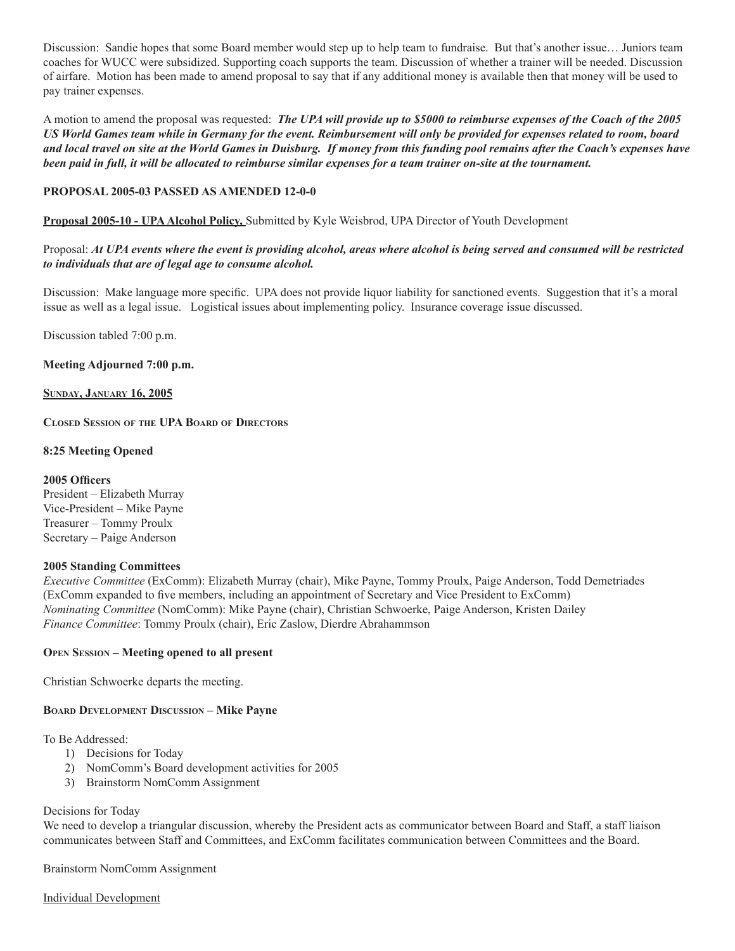Discussion: Sandie hopes that some Board member would step up to help team to fundraise. But that's another issue… Juniors team coaches for WUCC were subsidized. Supporting coach supports the team. Discussion of whether a trainer will be needed. Discussion of airfare. Motion has been made to amend proposal to say that if any additional money is available then that money will be used to pay trainer expenses.

A motion to amend the proposal was requested: *The UPA will provide up to \$5000 to reimburse expenses of the Coach of the 2005 US World Games team while in Germany for the event. Reimbursement will only be provided for expenses related to room, board and local travel on site at the World Games in Duisburg. If money from this funding pool remains after the Coach's expenses have been paid in full, it will be allocated to reimburse similar expenses for a team trainer on-site at the tournament.*

# **PROPOSAL 2005-03 PASSED AS AMENDED 12-0-0**

**Proposal 2005-10 - UPA Alcohol Policy,** Submitted by Kyle Weisbrod, UPA Director of Youth Development

# Proposal: *At UPA events where the event is providing alcohol, areas where alcohol is being served and consumed will be restricted to individuals that are of legal age to consume alcohol.*

Discussion: Make language more specific. UPA does not provide liquor liability for sanctioned events. Suggestion that it's a moral issue as well as a legal issue. Logistical issues about implementing policy. Insurance coverage issue discussed.

Discussion tabled 7:00 p.m.

#### **Meeting Adjourned 7:00 p.m.**

#### **Sunday, January 16, 2005**

**Closed Session of the UPA Board of Directors**

#### **8:25 Meeting Opened**

**2005 Officers** President – Elizabeth Murray Vice-President – Mike Payne Treasurer – Tommy Proulx Secretary – Paige Anderson

## **2005 Standing Committees**

*Executive Committee* (ExComm): Elizabeth Murray (chair), Mike Payne, Tommy Proulx, Paige Anderson, Todd Demetriades (ExComm expanded to five members, including an appointment of Secretary and Vice President to ExComm) *Nominating Committee* (NomComm): Mike Payne (chair), Christian Schwoerke, Paige Anderson, Kristen Dailey *Finance Committee*: Tommy Proulx (chair), Eric Zaslow, Dierdre Abrahammson

## **Open Session – Meeting opened to all present**

Christian Schwoerke departs the meeting.

## **Board Development Discussion – Mike Payne**

To Be Addressed:

- 1) Decisions for Today
- 2) NomComm's Board development activities for 2005
- 3) Brainstorm NomComm Assignment

## Decisions for Today

We need to develop a triangular discussion, whereby the President acts as communicator between Board and Staff, a staff liaison communicates between Staff and Committees, and ExComm facilitates communication between Committees and the Board.

Brainstorm NomComm Assignment

Individual Development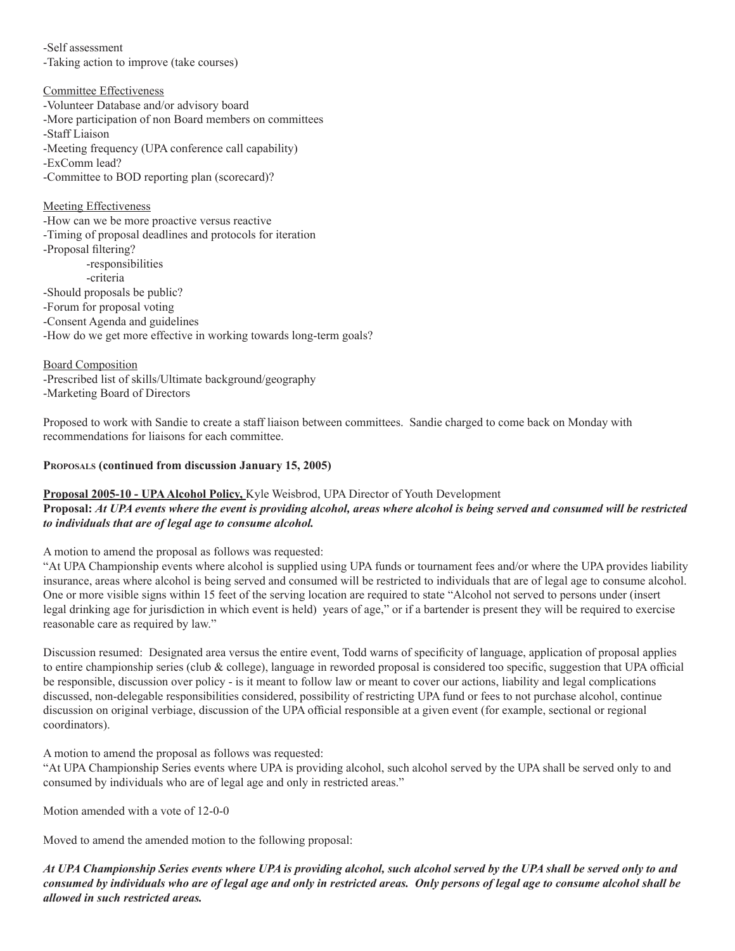-Self assessment

-Taking action to improve (take courses)

# Committee Effectiveness

-Volunteer Database and/or advisory board -More participation of non Board members on committees -Staff Liaison -Meeting frequency (UPA conference call capability) -ExComm lead? -Committee to BOD reporting plan (scorecard)?

# Meeting Effectiveness

-How can we be more proactive versus reactive -Timing of proposal deadlines and protocols for iteration -Proposal filtering? -responsibilities -criteria -Should proposals be public? -Forum for proposal voting -Consent Agenda and guidelines -How do we get more effective in working towards long-term goals?

Board Composition -Prescribed list of skills/Ultimate background/geography -Marketing Board of Directors

Proposed to work with Sandie to create a staff liaison between committees. Sandie charged to come back on Monday with recommendations for liaisons for each committee.

# **Proposals (continued from discussion January 15, 2005)**

# **Proposal 2005-10 - UPA Alcohol Policy,** Kyle Weisbrod, UPA Director of Youth Development **Proposal:** *At UPA events where the event is providing alcohol, areas where alcohol is being served and consumed will be restricted to individuals that are of legal age to consume alcohol.*

A motion to amend the proposal as follows was requested:

"At UPA Championship events where alcohol is supplied using UPA funds or tournament fees and/or where the UPA provides liability insurance, areas where alcohol is being served and consumed will be restricted to individuals that are of legal age to consume alcohol. One or more visible signs within 15 feet of the serving location are required to state "Alcohol not served to persons under (insert legal drinking age for jurisdiction in which event is held) years of age," or if a bartender is present they will be required to exercise reasonable care as required by law."

Discussion resumed: Designated area versus the entire event, Todd warns of specificity of language, application of proposal applies to entire championship series (club & college), language in reworded proposal is considered too specific, suggestion that UPA official be responsible, discussion over policy - is it meant to follow law or meant to cover our actions, liability and legal complications discussed, non-delegable responsibilities considered, possibility of restricting UPA fund or fees to not purchase alcohol, continue discussion on original verbiage, discussion of the UPA official responsible at a given event (for example, sectional or regional coordinators).

A motion to amend the proposal as follows was requested:

"At UPA Championship Series events where UPA is providing alcohol, such alcohol served by the UPA shall be served only to and consumed by individuals who are of legal age and only in restricted areas."

Motion amended with a vote of 12-0-0

Moved to amend the amended motion to the following proposal:

*At UPA Championship Series events where UPA is providing alcohol, such alcohol served by the UPA shall be served only to and consumed by individuals who are of legal age and only in restricted areas. Only persons of legal age to consume alcohol shall be allowed in such restricted areas.*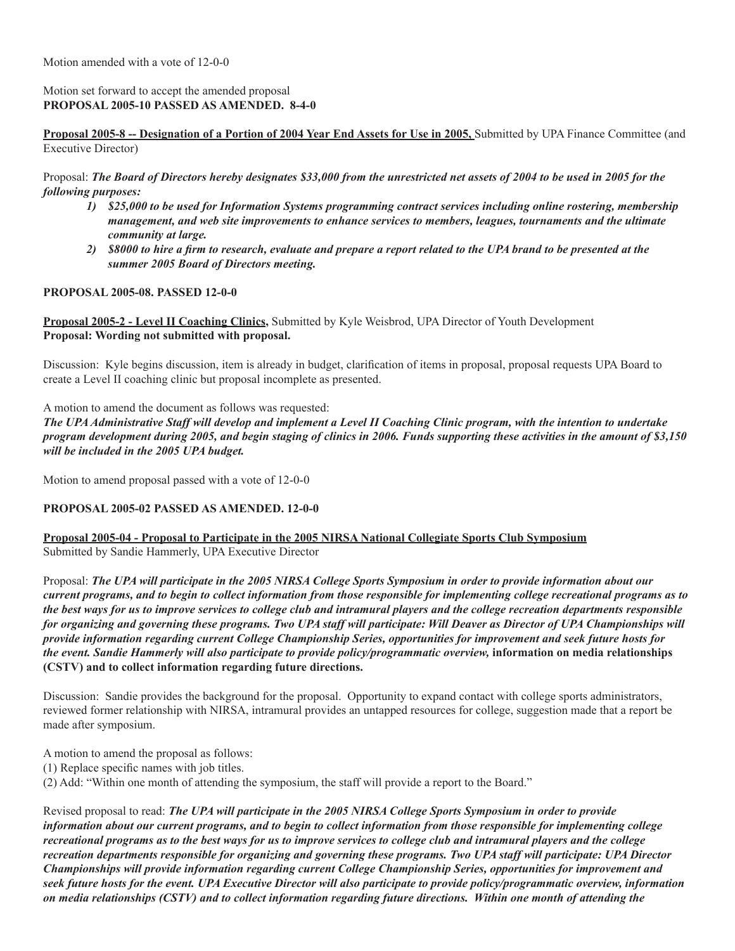# Motion set forward to accept the amended proposal **PROPOSAL 2005-10 PASSED AS AMENDED. 8-4-0**

**Proposal 2005-8 -- Designation of a Portion of 2004 Year End Assets for Use in 2005,** Submitted by UPA Finance Committee (and Executive Director)

Proposal: *The Board of Directors hereby designates \$33,000 from the unrestricted net assets of 2004 to be used in 2005 for the following purposes:*

- *1) \$25,000 to be used for Information Systems programming contract services including online rostering, membership management, and web site improvements to enhance services to members, leagues, tournaments and the ultimate community at large.*
- 2) \$8000 to hire a firm to research, evaluate and prepare a report related to the UPA brand to be presented at the *summer 2005 Board of Directors meeting.*

## **PROPOSAL 2005-08. PASSED 12-0-0**

**Proposal 2005-2 - Level II Coaching Clinics,** Submitted by Kyle Weisbrod, UPA Director of Youth Development **Proposal: Wording not submitted with proposal.** 

Discussion: Kyle begins discussion, item is already in budget, clarification of items in proposal, proposal requests UPA Board to create a Level II coaching clinic but proposal incomplete as presented.

A motion to amend the document as follows was requested:

*The UPA Administrative Staff will develop and implement a Level II Coaching Clinic program, with the intention to undertake program development during 2005, and begin staging of clinics in 2006. Funds supporting these activities in the amount of \$3,150 will be included in the 2005 UPA budget.* 

Motion to amend proposal passed with a vote of 12-0-0

# **PROPOSAL 2005-02 PASSED AS AMENDED. 12-0-0**

**Proposal 2005-04 - Proposal to Participate in the 2005 NIRSA National Collegiate Sports Club Symposium** Submitted by Sandie Hammerly, UPA Executive Director

Proposal: *The UPA will participate in the 2005 NIRSA College Sports Symposium in order to provide information about our current programs, and to begin to collect information from those responsible for implementing college recreational programs as to the best ways for us to improve services to college club and intramural players and the college recreation departments responsible for organizing and governing these programs. Two UPA staff will participate: Will Deaver as Director of UPA Championships will provide information regarding current College Championship Series, opportunities for improvement and seek future hosts for the event. Sandie Hammerly will also participate to provide policy/programmatic overview,* **information on media relationships (CSTV) and to collect information regarding future directions.** 

Discussion: Sandie provides the background for the proposal. Opportunity to expand contact with college sports administrators, reviewed former relationship with NIRSA, intramural provides an untapped resources for college, suggestion made that a report be made after symposium.

A motion to amend the proposal as follows:

(1) Replace specific names with job titles.

(2) Add: "Within one month of attending the symposium, the staff will provide a report to the Board."

Revised proposal to read: *The UPA will participate in the 2005 NIRSA College Sports Symposium in order to provide information about our current programs, and to begin to collect information from those responsible for implementing college recreational programs as to the best ways for us to improve services to college club and intramural players and the college recreation departments responsible for organizing and governing these programs. Two UPA staff will participate: UPA Director Championships will provide information regarding current College Championship Series, opportunities for improvement and seek future hosts for the event. UPA Executive Director will also participate to provide policy/programmatic overview, information on media relationships (CSTV) and to collect information regarding future directions. Within one month of attending the*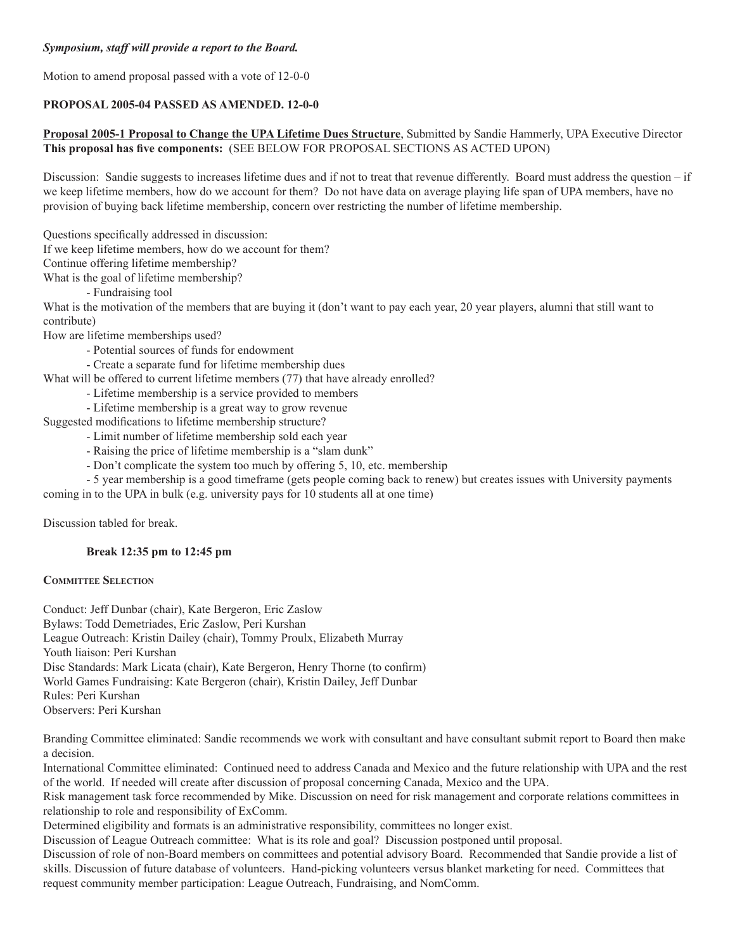# *Symposium, staff will provide a report to the Board.*

Motion to amend proposal passed with a vote of 12-0-0

# **PROPOSAL 2005-04 PASSED AS AMENDED. 12-0-0**

# **Proposal 2005-1 Proposal to Change the UPA Lifetime Dues Structure**, Submitted by Sandie Hammerly, UPA Executive Director **This proposal has five components:** (SEE BELOW FOR PROPOSAL SECTIONS AS ACTED UPON)

Discussion: Sandie suggests to increases lifetime dues and if not to treat that revenue differently. Board must address the question – if we keep lifetime members, how do we account for them? Do not have data on average playing life span of UPA members, have no provision of buying back lifetime membership, concern over restricting the number of lifetime membership.

Questions specifically addressed in discussion:

If we keep lifetime members, how do we account for them?

Continue offering lifetime membership?

What is the goal of lifetime membership?

- Fundraising tool

What is the motivation of the members that are buying it (don't want to pay each year, 20 year players, alumni that still want to contribute)

How are lifetime memberships used?

- Potential sources of funds for endowment
- Create a separate fund for lifetime membership dues

What will be offered to current lifetime members (77) that have already enrolled?

- Lifetime membership is a service provided to members
- Lifetime membership is a great way to grow revenue

Suggested modifications to lifetime membership structure?

- Limit number of lifetime membership sold each year
- Raising the price of lifetime membership is a "slam dunk"
- Don't complicate the system too much by offering 5, 10, etc. membership

- 5 year membership is a good timeframe (gets people coming back to renew) but creates issues with University payments

coming in to the UPA in bulk (e.g. university pays for 10 students all at one time)

Discussion tabled for break.

## **Break 12:35 pm to 12:45 pm**

## **Committee Selection**

Conduct: Jeff Dunbar (chair), Kate Bergeron, Eric Zaslow Bylaws: Todd Demetriades, Eric Zaslow, Peri Kurshan League Outreach: Kristin Dailey (chair), Tommy Proulx, Elizabeth Murray Youth liaison: Peri Kurshan Disc Standards: Mark Licata (chair), Kate Bergeron, Henry Thorne (to confirm) World Games Fundraising: Kate Bergeron (chair), Kristin Dailey, Jeff Dunbar Rules: Peri Kurshan Observers: Peri Kurshan

Branding Committee eliminated: Sandie recommends we work with consultant and have consultant submit report to Board then make a decision.

International Committee eliminated: Continued need to address Canada and Mexico and the future relationship with UPA and the rest of the world. If needed will create after discussion of proposal concerning Canada, Mexico and the UPA.

Risk management task force recommended by Mike. Discussion on need for risk management and corporate relations committees in relationship to role and responsibility of ExComm.

Determined eligibility and formats is an administrative responsibility, committees no longer exist.

Discussion of League Outreach committee: What is its role and goal? Discussion postponed until proposal.

Discussion of role of non-Board members on committees and potential advisory Board. Recommended that Sandie provide a list of skills. Discussion of future database of volunteers. Hand-picking volunteers versus blanket marketing for need. Committees that request community member participation: League Outreach, Fundraising, and NomComm.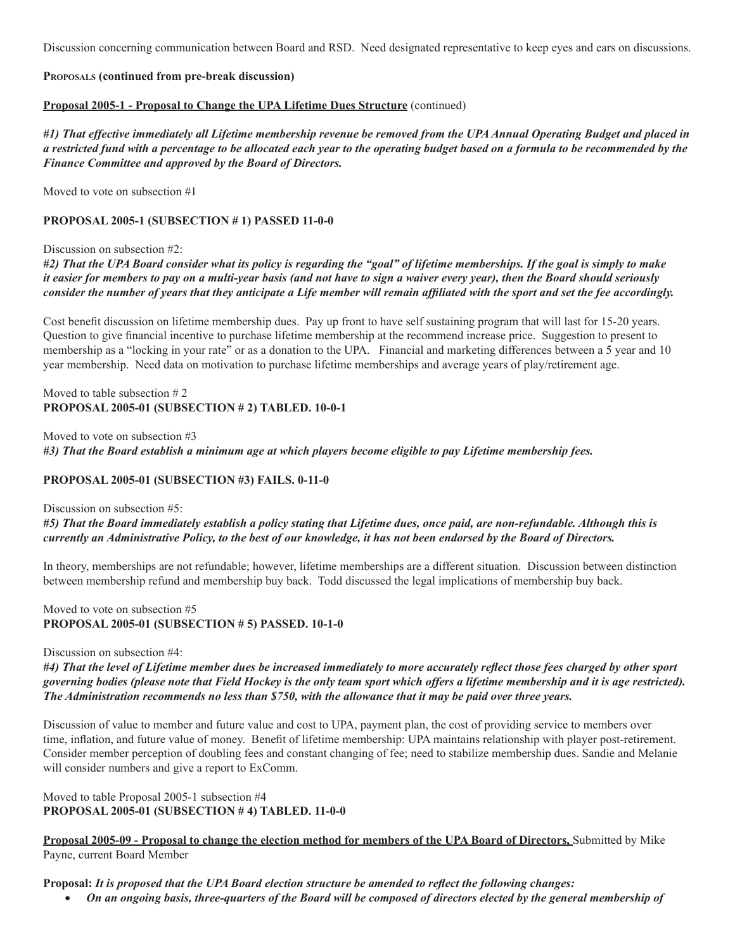Discussion concerning communication between Board and RSD. Need designated representative to keep eyes and ears on discussions.

# **Proposals (continued from pre-break discussion)**

# **Proposal 2005-1 - Proposal to Change the UPA Lifetime Dues Structure** (continued)

*#1) That effective immediately all Lifetime membership revenue be removed from the UPA Annual Operating Budget and placed in a restricted fund with a percentage to be allocated each year to the operating budget based on a formula to be recommended by the Finance Committee and approved by the Board of Directors.* 

Moved to vote on subsection #1

## **PROPOSAL 2005-1 (SUBSECTION # 1) PASSED 11-0-0**

## Discussion on subsection #2:

*#2) That the UPA Board consider what its policy is regarding the "goal" of lifetime memberships. If the goal is simply to make it easier for members to pay on a multi-year basis (and not have to sign a waiver every year), then the Board should seriously*  consider the number of years that they anticipate a Life member will remain affiliated with the sport and set the fee accordingly.

Cost benefit discussion on lifetime membership dues. Pay up front to have self sustaining program that will last for 15-20 years. Question to give financial incentive to purchase lifetime membership at the recommend increase price. Suggestion to present to membership as a "locking in your rate" or as a donation to the UPA. Financial and marketing differences between a 5 year and 10 year membership. Need data on motivation to purchase lifetime memberships and average years of play/retirement age.

## Moved to table subsection # 2 **PROPOSAL 2005-01 (SUBSECTION # 2) TABLED. 10-0-1**

Moved to vote on subsection #3 *#3) That the Board establish a minimum age at which players become eligible to pay Lifetime membership fees.* 

# **PROPOSAL 2005-01 (SUBSECTION #3) FAILS. 0-11-0**

## Discussion on subsection #5:

*#5) That the Board immediately establish a policy stating that Lifetime dues, once paid, are non-refundable. Although this is currently an Administrative Policy, to the best of our knowledge, it has not been endorsed by the Board of Directors.*

In theory, memberships are not refundable; however, lifetime memberships are a different situation. Discussion between distinction between membership refund and membership buy back. Todd discussed the legal implications of membership buy back.

## Moved to vote on subsection #5 **PROPOSAL 2005-01 (SUBSECTION # 5) PASSED. 10-1-0**

## Discussion on subsection #4:

#4) That the level of Lifetime member dues be increased immediately to more accurately reflect those fees charged by other sport *governing bodies (please note that Field Hockey is the only team sport which offers a lifetime membership and it is age restricted). The Administration recommends no less than \$750, with the allowance that it may be paid over three years.* 

Discussion of value to member and future value and cost to UPA, payment plan, the cost of providing service to members over time, inflation, and future value of money. Benefit of lifetime membership: UPA maintains relationship with player post-retirement. Consider member perception of doubling fees and constant changing of fee; need to stabilize membership dues. Sandie and Melanie will consider numbers and give a report to ExComm.

Moved to table Proposal 2005-1 subsection #4 **PROPOSAL 2005-01 (SUBSECTION # 4) TABLED. 11-0-0**

**Proposal 2005-09 - Proposal to change the election method for members of the UPA Board of Directors,** Submitted by Mike Payne, current Board Member

Proposal: It is proposed that the UPA Board election structure be amended to reflect the following changes:

• *On an ongoing basis, three-quarters of the Board will be composed of directors elected by the general membership of*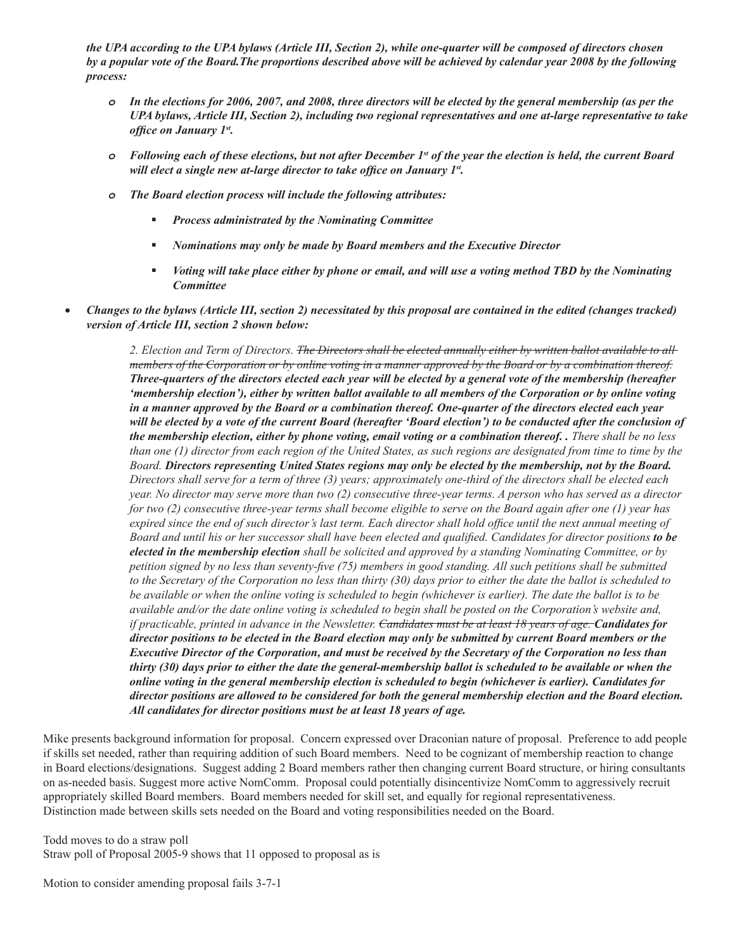*the UPA according to the UPA bylaws (Article III, Section 2), while one-quarter will be composed of directors chosen by a popular vote of the Board.The proportions described above will be achieved by calendar year 2008 by the following process:*

- *o In the elections for 2006, 2007, and 2008, three directors will be elected by the general membership (as per the UPA bylaws, Article III, Section 2), including two regional representatives and one at-large representative to take office on January 1st.*
- *o Following each of these elections, but not after December 1st of the year the election is held, the current Board will elect a single new at-large director to take office on January 1st.*
- *o The Board election process will include the following attributes:*
	- *Process administrated by the Nominating Committee*
	- *Nominations may only be made by Board members and the Executive Director*
	- *Voting will take place either by phone or email, and will use a voting method TBD by the Nominating Committee*
- *Changes to the bylaws (Article III, section 2) necessitated by this proposal are contained in the edited (changes tracked) version of Article III, section 2 shown below:*

*2. Election and Term of Directors. The Directors shall be elected annually either by written ballot available to all members of the Corporation or by online voting in a manner approved by the Board or by a combination thereof. Three-quarters of the directors elected each year will be elected by a general vote of the membership (hereafter 'membership election'), either by written ballot available to all members of the Corporation or by online voting in a manner approved by the Board or a combination thereof. One-quarter of the directors elected each year will be elected by a vote of the current Board (hereafter 'Board election') to be conducted after the conclusion of the membership election, either by phone voting, email voting or a combination thereof. . There shall be no less than one (1) director from each region of the United States, as such regions are designated from time to time by the Board. Directors representing United States regions may only be elected by the membership, not by the Board. Directors shall serve for a term of three (3) years; approximately one-third of the directors shall be elected each year. No director may serve more than two (2) consecutive three-year terms. A person who has served as a director for two (2) consecutive three-year terms shall become eligible to serve on the Board again after one (1) year has expired since the end of such director's last term. Each director shall hold office until the next annual meeting of Board and until his or her successor shall have been elected and qualified. Candidates for director positions to be elected in the membership election shall be solicited and approved by a standing Nominating Committee, or by petition signed by no less than seventy-five (75) members in good standing. All such petitions shall be submitted to the Secretary of the Corporation no less than thirty (30) days prior to either the date the ballot is scheduled to*  be available or when the online voting is scheduled to begin (whichever is earlier). The date the ballot is to be *available and/or the date online voting is scheduled to begin shall be posted on the Corporation's website and, if practicable, printed in advance in the Newsletter. Candidates must be at least 18 years of age. Candidates for director positions to be elected in the Board election may only be submitted by current Board members or the Executive Director of the Corporation, and must be received by the Secretary of the Corporation no less than thirty (30) days prior to either the date the general-membership ballot is scheduled to be available or when the online voting in the general membership election is scheduled to begin (whichever is earlier). Candidates for director positions are allowed to be considered for both the general membership election and the Board election. All candidates for director positions must be at least 18 years of age.*

Mike presents background information for proposal. Concern expressed over Draconian nature of proposal. Preference to add people if skills set needed, rather than requiring addition of such Board members. Need to be cognizant of membership reaction to change in Board elections/designations. Suggest adding 2 Board members rather then changing current Board structure, or hiring consultants on as-needed basis. Suggest more active NomComm. Proposal could potentially disincentivize NomComm to aggressively recruit appropriately skilled Board members. Board members needed for skill set, and equally for regional representativeness. Distinction made between skills sets needed on the Board and voting responsibilities needed on the Board.

Todd moves to do a straw poll Straw poll of Proposal 2005-9 shows that 11 opposed to proposal as is

Motion to consider amending proposal fails 3-7-1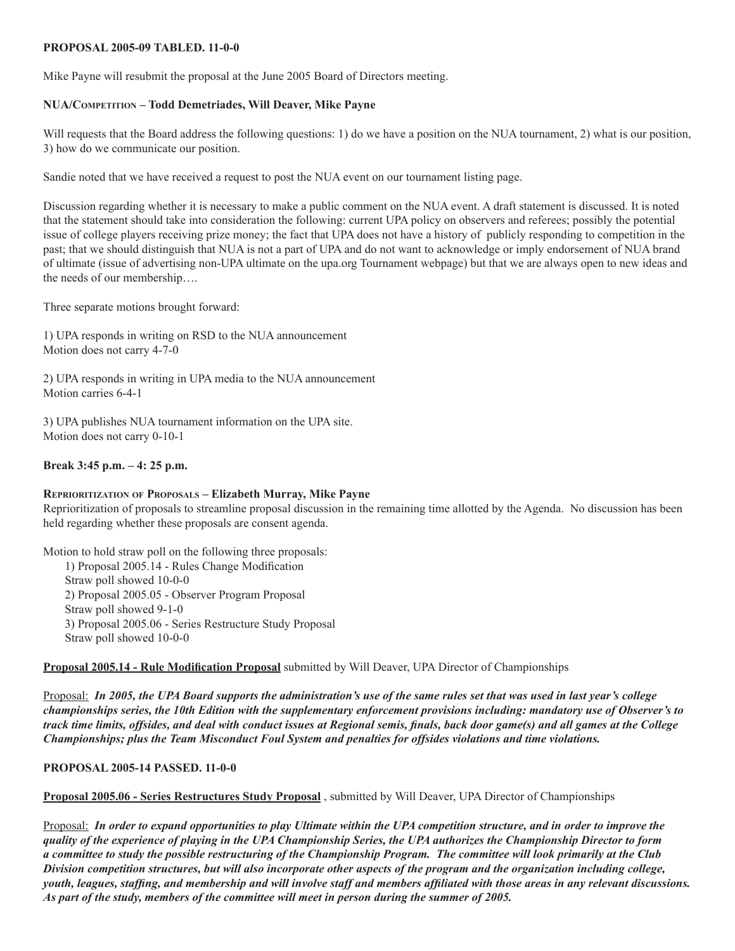#### **PROPOSAL 2005-09 TABLED. 11-0-0**

Mike Payne will resubmit the proposal at the June 2005 Board of Directors meeting.

#### **NUA/Competition – Todd Demetriades, Will Deaver, Mike Payne**

Will requests that the Board address the following questions: 1) do we have a position on the NUA tournament, 2) what is our position, 3) how do we communicate our position.

Sandie noted that we have received a request to post the NUA event on our tournament listing page.

Discussion regarding whether it is necessary to make a public comment on the NUA event. A draft statement is discussed. It is noted that the statement should take into consideration the following: current UPA policy on observers and referees; possibly the potential issue of college players receiving prize money; the fact that UPA does not have a history of publicly responding to competition in the past; that we should distinguish that NUA is not a part of UPA and do not want to acknowledge or imply endorsement of NUA brand of ultimate (issue of advertising non-UPA ultimate on the upa.org Tournament webpage) but that we are always open to new ideas and the needs of our membership….

Three separate motions brought forward:

1) UPA responds in writing on RSD to the NUA announcement Motion does not carry 4-7-0

2) UPA responds in writing in UPA media to the NUA announcement Motion carries 6-4-1

3) UPA publishes NUA tournament information on the UPA site. Motion does not carry 0-10-1

## **Break 3:45 p.m. – 4: 25 p.m.**

#### **Reprioritization of Proposals – Elizabeth Murray, Mike Payne**

Reprioritization of proposals to streamline proposal discussion in the remaining time allotted by the Agenda. No discussion has been held regarding whether these proposals are consent agenda.

Motion to hold straw poll on the following three proposals:

1) Proposal 2005.14 - Rules Change Modification Straw poll showed 10-0-0 2) Proposal 2005.05 - Observer Program Proposal Straw poll showed 9-1-0 3) Proposal 2005.06 - Series Restructure Study Proposal Straw poll showed 10-0-0

**Proposal 2005.14 - Rule Modification Proposal** submitted by Will Deaver, UPA Director of Championships

Proposal: *In 2005, the UPA Board supports the administration's use of the same rules set that was used in last year's college championships series, the 10th Edition with the supplementary enforcement provisions including: mandatory use of Observer's to*  track time limits, offsides, and deal with conduct issues at Regional semis, finals, back door game(s) and all games at the College *Championships; plus the Team Misconduct Foul System and penalties for offsides violations and time violations.*

#### **PROPOSAL 2005-14 PASSED. 11-0-0**

**Proposal 2005.06 - Series Restructures Study Proposal** , submitted by Will Deaver, UPA Director of Championships

Proposal: *In order to expand opportunities to play Ultimate within the UPA competition structure, and in order to improve the quality of the experience of playing in the UPA Championship Series, the UPA authorizes the Championship Director to form a committee to study the possible restructuring of the Championship Program. The committee will look primarily at the Club Division competition structures, but will also incorporate other aspects of the program and the organization including college,*  youth, leagues, staffing, and membership and will involve staff and members affiliated with those areas in any relevant discussions. *As part of the study, members of the committee will meet in person during the summer of 2005.*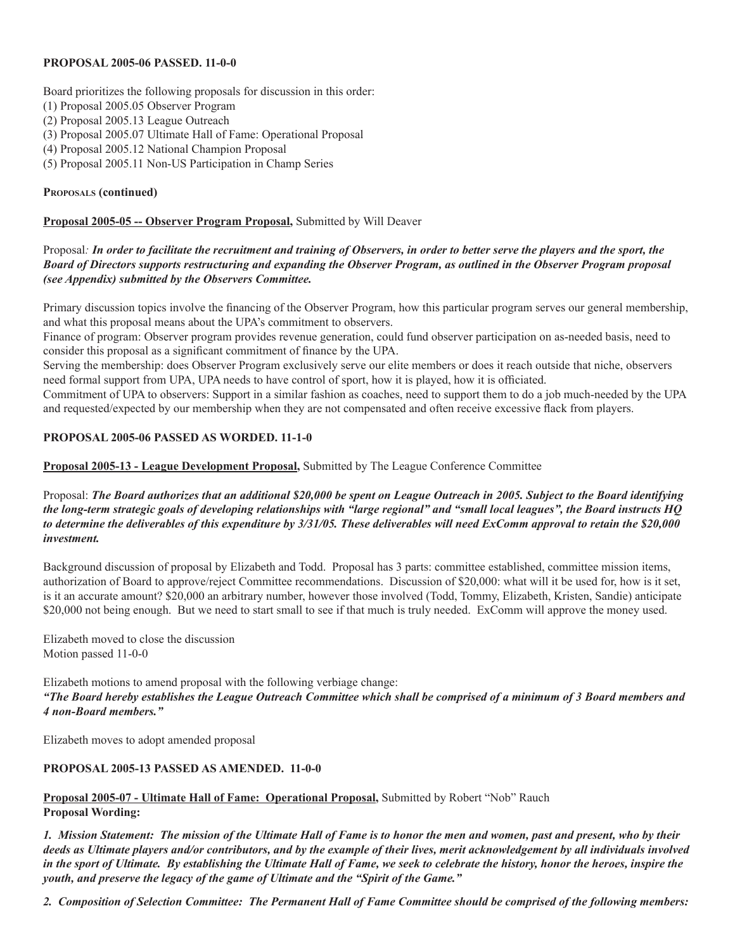## **PROPOSAL 2005-06 PASSED. 11-0-0**

Board prioritizes the following proposals for discussion in this order:

- (1) Proposal 2005.05 Observer Program
- (2) Proposal 2005.13 League Outreach
- (3) Proposal 2005.07 Ultimate Hall of Fame: Operational Proposal
- (4) Proposal 2005.12 National Champion Proposal
- (5) Proposal 2005.11 Non-US Participation in Champ Series

# **Proposals (continued)**

# **Proposal 2005-05 -- Observer Program Proposal,** Submitted by Will Deaver

# Proposal*: In order to facilitate the recruitment and training of Observers, in order to better serve the players and the sport, the Board of Directors supports restructuring and expanding the Observer Program, as outlined in the Observer Program proposal (see Appendix) submitted by the Observers Committee.*

Primary discussion topics involve the financing of the Observer Program, how this particular program serves our general membership, and what this proposal means about the UPA's commitment to observers.

Finance of program: Observer program provides revenue generation, could fund observer participation on as-needed basis, need to consider this proposal as a significant commitment of finance by the UPA.

Serving the membership: does Observer Program exclusively serve our elite members or does it reach outside that niche, observers need formal support from UPA, UPA needs to have control of sport, how it is played, how it is officiated.

Commitment of UPA to observers: Support in a similar fashion as coaches, need to support them to do a job much-needed by the UPA and requested/expected by our membership when they are not compensated and often receive excessive flack from players.

# **PROPOSAL 2005-06 PASSED AS WORDED. 11-1-0**

**Proposal 2005-13 - League Development Proposal,** Submitted by The League Conference Committee

Proposal: *The Board authorizes that an additional \$20,000 be spent on League Outreach in 2005. Subject to the Board identifying the long-term strategic goals of developing relationships with "large regional" and "small local leagues", the Board instructs HQ to determine the deliverables of this expenditure by 3/31/05. These deliverables will need ExComm approval to retain the \$20,000 investment.*

Background discussion of proposal by Elizabeth and Todd. Proposal has 3 parts: committee established, committee mission items, authorization of Board to approve/reject Committee recommendations. Discussion of \$20,000: what will it be used for, how is it set, is it an accurate amount? \$20,000 an arbitrary number, however those involved (Todd, Tommy, Elizabeth, Kristen, Sandie) anticipate \$20,000 not being enough. But we need to start small to see if that much is truly needed. ExComm will approve the money used.

Elizabeth moved to close the discussion Motion passed 11-0-0

Elizabeth motions to amend proposal with the following verbiage change: *"The Board hereby establishes the League Outreach Committee which shall be comprised of a minimum of 3 Board members and 4 non-Board members."*

Elizabeth moves to adopt amended proposal

# **PROPOSAL 2005-13 PASSED AS AMENDED. 11-0-0**

# **Proposal 2005-07 - Ultimate Hall of Fame: Operational Proposal,** Submitted by Robert "Nob" Rauch **Proposal Wording:**

*1. Mission Statement: The mission of the Ultimate Hall of Fame is to honor the men and women, past and present, who by their deeds as Ultimate players and/or contributors, and by the example of their lives, merit acknowledgement by all individuals involved in the sport of Ultimate. By establishing the Ultimate Hall of Fame, we seek to celebrate the history, honor the heroes, inspire the youth, and preserve the legacy of the game of Ultimate and the "Spirit of the Game."*

*2. Composition of Selection Committee: The Permanent Hall of Fame Committee should be comprised of the following members:*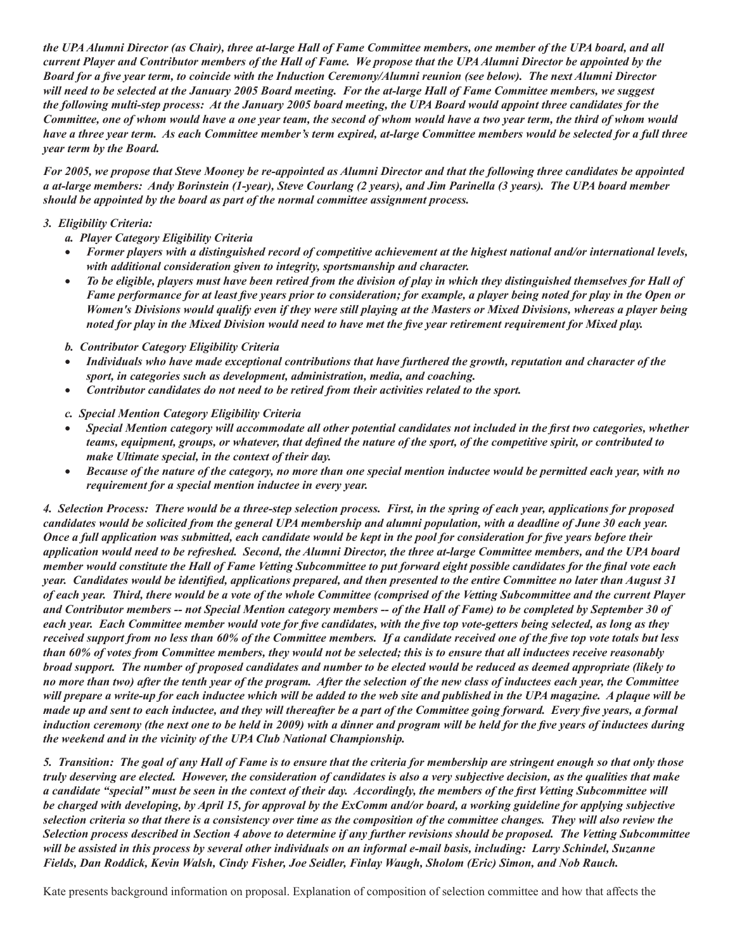*the UPA Alumni Director (as Chair), three at-large Hall of Fame Committee members, one member of the UPA board, and all current Player and Contributor members of the Hall of Fame. We propose that the UPA Alumni Director be appointed by the*  Board for a five year term, to coincide with the Induction Ceremony/Alumni reunion (see below). The next Alumni Director will need to be selected at the January 2005 Board meeting. For the at-large Hall of Fame Committee members, we suggest the following multi-step process: At the January 2005 board meeting, the UPA Board would appoint three candidates for the *Committee, one of whom would have a one year team, the second of whom would have a two year term, the third of whom would have a three year term. As each Committee member's term expired, at-large Committee members would be selected for a full three year term by the Board.* 

*For 2005, we propose that Steve Mooney be re-appointed as Alumni Director and that the following three candidates be appointed*  a at-large members: Andy Borinstein (1-year), Steve Courlang (2 years), and Jim Parinella (3 years). The UPA board member *should be appointed by the board as part of the normal committee assignment process.* 

# *3. Eligibility Criteria:*

- *a. Player Category Eligibility Criteria*
- Former players with a distinguished record of competitive achievement at the highest national and/or international levels, *with additional consideration given to integrity, sportsmanship and character.*
- • *To be eligible, players must have been retired from the division of play in which they distinguished themselves for Hall of*  Fame performance for at least five years prior to consideration; for example, a player being noted for play in the Open or *Women's Divisions would qualify even if they were still playing at the Masters or Mixed Divisions, whereas a player being*  noted for play in the Mixed Division would need to have met the five year retirement requirement for Mixed play.
- *b. Contributor Category Eligibility Criteria*
- • *Individuals who have made exceptional contributions that have furthered the growth, reputation and character of the sport, in categories such as development, administration, media, and coaching.*
- Contributor candidates do not need to be retired from their activities related to the sport.
- *c. Special Mention Category Eligibility Criteria*
- Special Mention category will accommodate all other potential candidates not included in the first two categories, whether teams, equipment, groups, or whatever, that defined the nature of the sport, of the competitive spirit, or contributed to *make Ultimate special, in the context of their day.*
- • *Because of the nature of the category, no more than one special mention inductee would be permitted each year, with no requirement for a special mention inductee in every year.*

*4. Selection Process: There would be a three-step selection process. First, in the spring of each year, applications for proposed*  candidates would be solicited from the general UPA membership and alumni population, with a deadline of June 30 each year. Once a full application was submitted, each candidate would be kept in the pool for consideration for five years before their *application would need to be refreshed. Second, the Alumni Director, the three at-large Committee members, and the UPA board*  member would constitute the Hall of Fame Vetting Subcommittee to put forward eight possible candidates for the final vote each year. Candidates would be identified, applications prepared, and then presented to the entire Committee no later than August 31 *of each year. Third, there would be a vote of the whole Committee (comprised of the Vetting Subcommittee and the current Player and Contributor members -- not Special Mention category members -- of the Hall of Fame) to be completed by September 30 of*  each year. Each Committee member would vote for five candidates, with the five top vote-getters being selected, as long as they received support from no less than 60% of the Committee members. If a candidate received one of the five top vote totals but less *than 60% of votes from Committee members, they would not be selected; this is to ensure that all inductees receive reasonably broad support. The number of proposed candidates and number to be elected would be reduced as deemed appropriate (likely to no more than two) after the tenth year of the program. After the selection of the new class of inductees each year, the Committee will prepare a write-up for each inductee which will be added to the web site and published in the UPA magazine. A plaque will be*  made up and sent to each inductee, and they will thereafter be a part of the Committee going forward. Every five years, a formal induction ceremony (the next one to be held in 2009) with a dinner and program will be held for the five years of inductees during *the weekend and in the vicinity of the UPA Club National Championship.*

*5. Transition: The goal of any Hall of Fame is to ensure that the criteria for membership are stringent enough so that only those truly deserving are elected. However, the consideration of candidates is also a very subjective decision, as the qualities that make*  a candidate "special" must be seen in the context of their day. Accordingly, the members of the first Vetting Subcommittee will *be charged with developing, by April 15, for approval by the ExComm and/or board, a working guideline for applying subjective selection criteria so that there is a consistency over time as the composition of the committee changes. They will also review the Selection process described in Section 4 above to determine if any further revisions should be proposed. The Vetting Subcommittee will be assisted in this process by several other individuals on an informal e-mail basis, including: Larry Schindel, Suzanne*  Fields, Dan Roddick, Kevin Walsh, Cindy Fisher, Joe Seidler, Finlay Waugh, Sholom (Eric) Simon, and Nob Rauch.

Kate presents background information on proposal. Explanation of composition of selection committee and how that affects the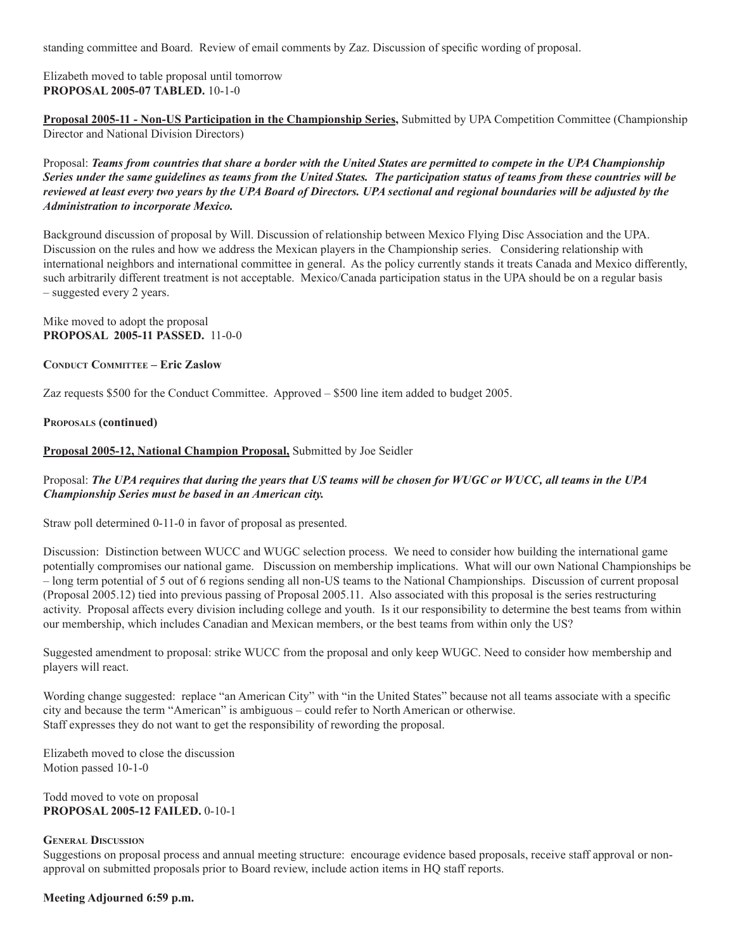standing committee and Board. Review of email comments by Zaz. Discussion of specific wording of proposal.

Elizabeth moved to table proposal until tomorrow **PROPOSAL 2005-07 TABLED.** 10-1-0

**Proposal 2005-11 - Non-US Participation in the Championship Series,** Submitted by UPA Competition Committee (Championship Director and National Division Directors)

Proposal: *Teams from countries that share a border with the United States are permitted to compete in the UPA Championship Series under the same guidelines as teams from the United States. The participation status of teams from these countries will be reviewed at least every two years by the UPA Board of Directors. UPA sectional and regional boundaries will be adjusted by the Administration to incorporate Mexico.* 

Background discussion of proposal by Will. Discussion of relationship between Mexico Flying Disc Association and the UPA. Discussion on the rules and how we address the Mexican players in the Championship series. Considering relationship with international neighbors and international committee in general. As the policy currently stands it treats Canada and Mexico differently, such arbitrarily different treatment is not acceptable. Mexico/Canada participation status in the UPA should be on a regular basis – suggested every 2 years.

Mike moved to adopt the proposal **PROPOSAL 2005-11 PASSED.** 11-0-0

**CONDUCT COMMITTEE – Eric Zaslow** 

Zaz requests \$500 for the Conduct Committee. Approved – \$500 line item added to budget 2005.

#### **Proposals (continued)**

**Proposal 2005-12, National Champion Proposal,** Submitted by Joe Seidler

# Proposal: *The UPA requires that during the years that US teams will be chosen for WUGC or WUCC, all teams in the UPA Championship Series must be based in an American city.*

Straw poll determined 0-11-0 in favor of proposal as presented.

Discussion: Distinction between WUCC and WUGC selection process. We need to consider how building the international game potentially compromises our national game. Discussion on membership implications. What will our own National Championships be – long term potential of 5 out of 6 regions sending all non-US teams to the National Championships. Discussion of current proposal (Proposal 2005.12) tied into previous passing of Proposal 2005.11. Also associated with this proposal is the series restructuring activity. Proposal affects every division including college and youth. Is it our responsibility to determine the best teams from within our membership, which includes Canadian and Mexican members, or the best teams from within only the US?

Suggested amendment to proposal: strike WUCC from the proposal and only keep WUGC. Need to consider how membership and players will react.

Wording change suggested: replace "an American City" with "in the United States" because not all teams associate with a specific city and because the term "American" is ambiguous – could refer to North American or otherwise. Staff expresses they do not want to get the responsibility of rewording the proposal.

Elizabeth moved to close the discussion Motion passed 10-1-0

Todd moved to vote on proposal **PROPOSAL 2005-12 FAILED.** 0-10-1

## **General Discussion**

Suggestions on proposal process and annual meeting structure: encourage evidence based proposals, receive staff approval or nonapproval on submitted proposals prior to Board review, include action items in HQ staff reports.

## **Meeting Adjourned 6:59 p.m.**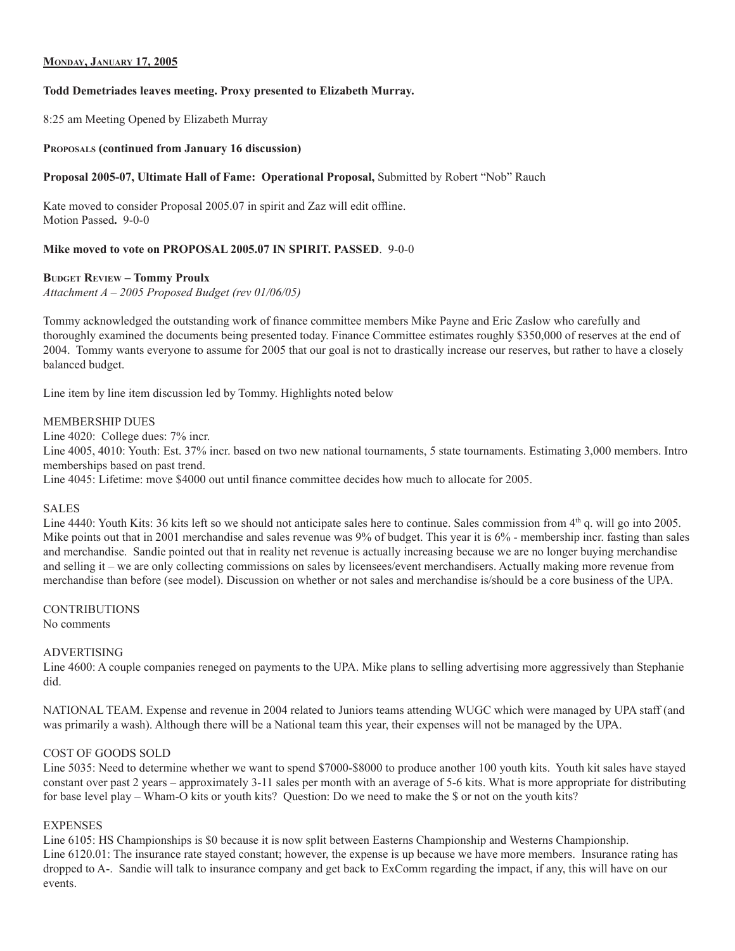# **Monday, January 17, 2005**

#### **Todd Demetriades leaves meeting. Proxy presented to Elizabeth Murray.**

8:25 am Meeting Opened by Elizabeth Murray

#### **Proposals (continued from January 16 discussion)**

#### **Proposal 2005-07, Ultimate Hall of Fame: Operational Proposal,** Submitted by Robert "Nob" Rauch

Kate moved to consider Proposal 2005.07 in spirit and Zaz will edit offline. Motion Passed**.** 9-0-0

#### **Mike moved to vote on PROPOSAL 2005.07 IN SPIRIT. PASSED**. 9-0-0

#### **BUDGET REVIEW – Tommy Proulx**

*Attachment A – 2005 Proposed Budget (rev 01/06/05)*

Tommy acknowledged the outstanding work of finance committee members Mike Payne and Eric Zaslow who carefully and thoroughly examined the documents being presented today. Finance Committee estimates roughly \$350,000 of reserves at the end of 2004. Tommy wants everyone to assume for 2005 that our goal is not to drastically increase our reserves, but rather to have a closely balanced budget.

Line item by line item discussion led by Tommy. Highlights noted below

#### MEMBERSHIP DUES

Line 4020: College dues: 7% incr. Line 4005, 4010: Youth: Est. 37% incr. based on two new national tournaments, 5 state tournaments. Estimating 3,000 members. Intro memberships based on past trend. Line 4045: Lifetime: move \$4000 out until finance committee decides how much to allocate for 2005.

#### SALES

Line 4440: Youth Kits: 36 kits left so we should not anticipate sales here to continue. Sales commission from  $4<sup>th</sup>$  q. will go into 2005. Mike points out that in 2001 merchandise and sales revenue was 9% of budget. This year it is 6% - membership incr. fasting than sales and merchandise. Sandie pointed out that in reality net revenue is actually increasing because we are no longer buying merchandise and selling it – we are only collecting commissions on sales by licensees/event merchandisers. Actually making more revenue from merchandise than before (see model). Discussion on whether or not sales and merchandise is/should be a core business of the UPA.

## **CONTRIBUTIONS**

No comments

#### ADVERTISING

Line 4600: A couple companies reneged on payments to the UPA. Mike plans to selling advertising more aggressively than Stephanie did.

NATIONAL TEAM. Expense and revenue in 2004 related to Juniors teams attending WUGC which were managed by UPA staff (and was primarily a wash). Although there will be a National team this year, their expenses will not be managed by the UPA.

# COST OF GOODS SOLD

Line 5035: Need to determine whether we want to spend \$7000-\$8000 to produce another 100 youth kits. Youth kit sales have stayed constant over past 2 years – approximately 3-11 sales per month with an average of 5-6 kits. What is more appropriate for distributing for base level play – Wham-O kits or youth kits? Question: Do we need to make the \$ or not on the youth kits?

#### **EXPENSES**

Line 6105: HS Championships is \$0 because it is now split between Easterns Championship and Westerns Championship. Line 6120.01: The insurance rate stayed constant; however, the expense is up because we have more members. Insurance rating has dropped to A-. Sandie will talk to insurance company and get back to ExComm regarding the impact, if any, this will have on our events.